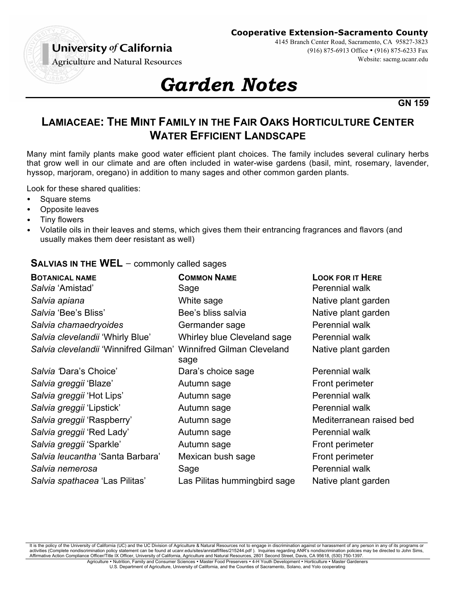University of California

#### **Cooperative Extension-Sacramento County**

4145 Branch Center Road, Sacramento, CA 95827-3823

(916) 875-6913 Office • (916) 875-6233 Fax

Website: sacmg.ucanr.edu

**Agriculture and Natural Resources** 

# *Garden Notes*

**GN 159**

## **LAMIACEAE: THE MINT FAMILY IN THE FAIR OAKS HORTICULTURE CENTER WATER EFFICIENT LANDSCAPE**

Many mint family plants make good water efficient plant choices. The family includes several culinary herbs that grow well in our climate and are often included in water-wise gardens (basil, mint, rosemary, lavender, hyssop, marjoram, oregano) in addition to many sages and other common garden plants.

Look for these shared qualities:

- Square stems
- Opposite leaves
- Tiny flowers
- Volatile oils in their leaves and stems, which gives them their entrancing fragrances and flavors (and usually makes them deer resistant as well)

### **SALVIAS IN THE WEL −** commonly called sages

| <b>COMMON NAME</b>                                                       | <b>LOOK FOR IT HERE</b>  |
|--------------------------------------------------------------------------|--------------------------|
| Sage                                                                     | Perennial walk           |
| White sage                                                               | Native plant garden      |
| Bee's bliss salvia                                                       | Native plant garden      |
| Germander sage                                                           | Perennial walk           |
| Whirley blue Cleveland sage                                              | Perennial walk           |
| Salvia clevelandii 'Winnifred Gilman' Winnifred Gilman Cleveland<br>sage | Native plant garden      |
| Dara's choice sage                                                       | Perennial walk           |
| Autumn sage                                                              | Front perimeter          |
| Autumn sage                                                              | Perennial walk           |
| Autumn sage                                                              | Perennial walk           |
| Autumn sage                                                              | Mediterranean raised bed |
| Autumn sage                                                              | Perennial walk           |
| Autumn sage                                                              | Front perimeter          |
| Mexican bush sage                                                        | Front perimeter          |
| Sage                                                                     | Perennial walk           |
| Las Pilitas hummingbird sage                                             | Native plant garden      |
|                                                                          |                          |

It is the policy of the University of California (UC) and the UC Division of Agriculture & Natural Resources not to engage in discrimination against or harassment of any person in any of its programs or activities (Complete nondiscrimination policy statement can be found at ucanr.edu/sites/anrstaff/files/215244.pdf). Inquiries regarding ANR's nondiscrimination policies may be directed to John Sims, Affirmative Action Compliance Officer/Title IX Officer, University of California, Agriculture and Natural Resources, 2801 Second Street, Davis, CA 95618, (530) 750-1397. Agriculture • Nutrition, Family and Consumer Sciences • Master Food Preservers • 4-H Youth Development • Horticulture • Master Gardeners

U.S. Department of Agriculture, University of California, and the Counties of Sacramento, Solano, and Yolo cooperating